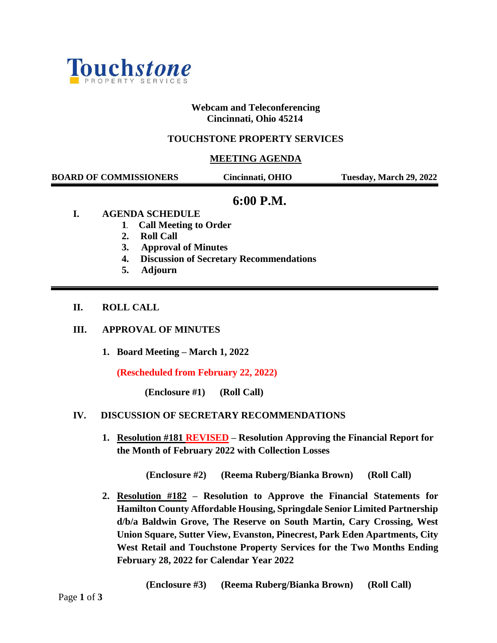

# **Webcam and Teleconferencing Cincinnati, Ohio 45214**

# **TOUCHSTONE PROPERTY SERVICES**

## **MEETING AGENDA**

| <b>BOARD OF COMMISSIONERS</b> | Cincinnati, OHIO | Tuesday, March 29, 2022 |
|-------------------------------|------------------|-------------------------|
|                               |                  |                         |

# **6:00 P.M.**

- **I. AGENDA SCHEDULE**
	- **1. Call Meeting to Order**
	- **2. Roll Call**
	- **3. Approval of Minutes**
	- **4. Discussion of Secretary Recommendations**
	- **5. Adjourn**

#### **II. ROLL CALL**

#### **III. APPROVAL OF MINUTES**

**1. Board Meeting – March 1, 2022**

**(Rescheduled from February 22, 2022)** 

**(Enclosure #1) (Roll Call)**

#### **IV. DISCUSSION OF SECRETARY RECOMMENDATIONS**

**1. Resolution #181 REVISED – Resolution Approving the Financial Report for the Month of February 2022 with Collection Losses**

**(Enclosure #2) (Reema Ruberg/Bianka Brown) (Roll Call)**

**2. Resolution #182 – Resolution to Approve the Financial Statements for Hamilton County Affordable Housing, Springdale Senior Limited Partnership d/b/a Baldwin Grove, The Reserve on South Martin, Cary Crossing, West Union Square, Sutter View, Evanston, Pinecrest, Park Eden Apartments, City West Retail and Touchstone Property Services for the Two Months Ending February 28, 2022 for Calendar Year 2022**

**(Enclosure #3) (Reema Ruberg/Bianka Brown) (Roll Call)**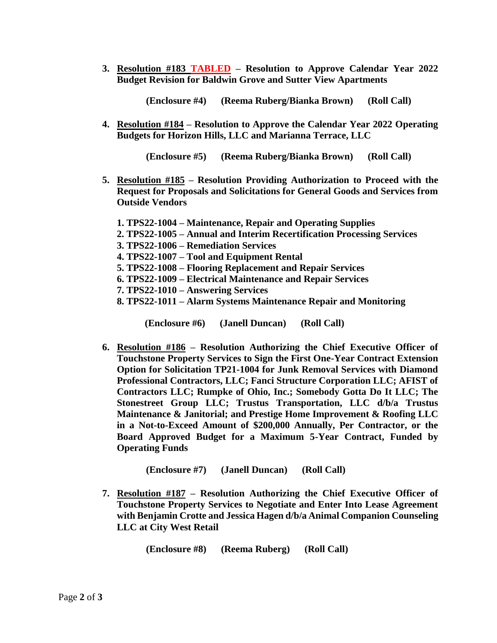**3. Resolution #183 TABLED – Resolution to Approve Calendar Year 2022 Budget Revision for Baldwin Grove and Sutter View Apartments**

 **(Enclosure #4) (Reema Ruberg/Bianka Brown) (Roll Call)**

**4. Resolution #184 – Resolution to Approve the Calendar Year 2022 Operating Budgets for Horizon Hills, LLC and Marianna Terrace, LLC**

 **(Enclosure #5) (Reema Ruberg/Bianka Brown) (Roll Call)**

- **5. Resolution #185 – Resolution Providing Authorization to Proceed with the Request for Proposals and Solicitations for General Goods and Services from Outside Vendors**
	- **1. TPS22-1004 – Maintenance, Repair and Operating Supplies**
	- **2. TPS22-1005 – Annual and Interim Recertification Processing Services**
	- **3. TPS22-1006 – Remediation Services**
	- **4. TPS22-1007 – Tool and Equipment Rental**
	- **5. TPS22-1008 – Flooring Replacement and Repair Services**
	- **6. TPS22-1009 – Electrical Maintenance and Repair Services**
	- **7. TPS22-1010 – Answering Services**
	- **8. TPS22-1011 – Alarm Systems Maintenance Repair and Monitoring**

**(Enclosure #6) (Janell Duncan) (Roll Call)**

**6. Resolution #186 – Resolution Authorizing the Chief Executive Officer of Touchstone Property Services to Sign the First One-Year Contract Extension Option for Solicitation TP21-1004 for Junk Removal Services with Diamond Professional Contractors, LLC; Fanci Structure Corporation LLC; AFIST of Contractors LLC; Rumpke of Ohio, Inc.; Somebody Gotta Do It LLC; The Stonestreet Group LLC; Trustus Transportation, LLC d/b/a Trustus Maintenance & Janitorial; and Prestige Home Improvement & Roofing LLC in a Not-to-Exceed Amount of \$200,000 Annually, Per Contractor, or the Board Approved Budget for a Maximum 5-Year Contract, Funded by Operating Funds**

**(Enclosure #7) (Janell Duncan) (Roll Call)**

**7. Resolution #187 – Resolution Authorizing the Chief Executive Officer of Touchstone Property Services to Negotiate and Enter Into Lease Agreement with Benjamin Crotte and Jessica Hagen d/b/a Animal Companion Counseling LLC at City West Retail**

 **(Enclosure #8) (Reema Ruberg) (Roll Call)**